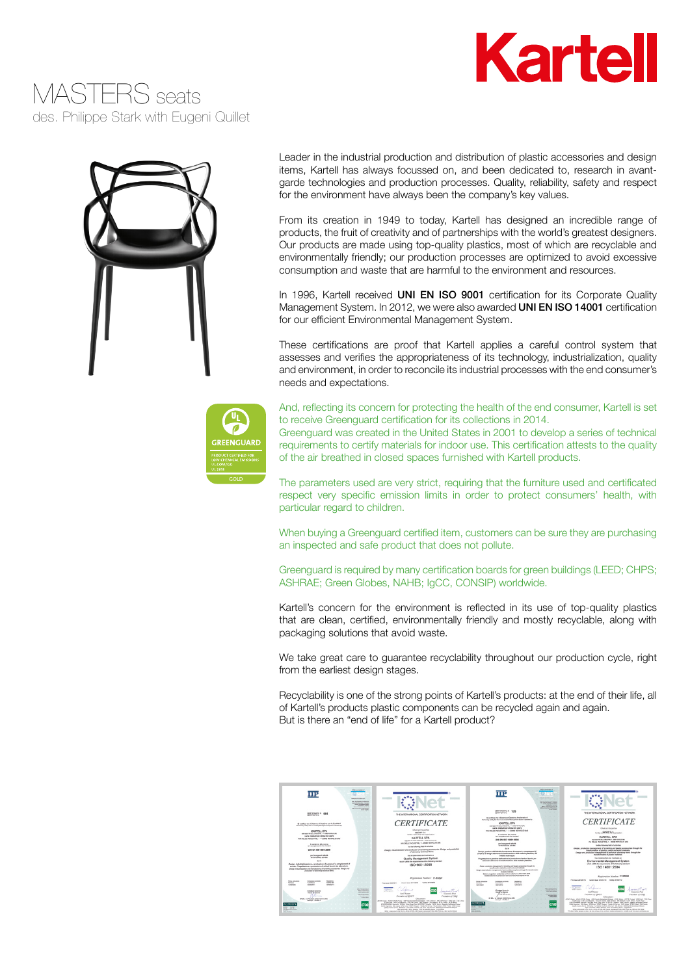### MASTERS seats des. Philippe Stark with Eugeni Quillet





Leader in the industrial production and distribution of plastic accessories and design items, Kartell has always focussed on, and been dedicated to, research in avantgarde technologies and production processes. Quality, reliability, safety and respect for the environment have always been the company's key values.

From its creation in 1949 to today, Kartell has designed an incredible range of products, the fruit of creativity and of partnerships with the world's greatest designers. Our products are made using top-quality plastics, most of which are recyclable and environmentally friendly; our production processes are optimized to avoid excessive consumption and waste that are harmful to the environment and resources.

In 1996, Kartell received UNI EN ISO 9001 certification for its Corporate Quality Management System. In 2012, we were also awarded UNI EN ISO 14001 certification for our efficient Environmental Management System.

These certifications are proof that Kartell applies a careful control system that assesses and verifies the appropriateness of its technology, industrialization, quality and environment, in order to reconcile its industrial processes with the end consumer's needs and expectations.



And, reflecting its concern for protecting the health of the end consumer, Kartell is set to receive Greenguard certification for its collections in 2014.

Greenguard was created in the United States in 2001 to develop a series of technical requirements to certify materials for indoor use. This certification attests to the quality of the air breathed in closed spaces furnished with Kartell products.

The parameters used are very strict, requiring that the furniture used and certificated respect very specific emission limits in order to protect consumers' health, with particular regard to children.

When buying a Greenguard certified item, customers can be sure they are purchasing an inspected and safe product that does not pollute.

Greenguard is required by many certification boards for green buildings (LEED; CHPS; ASHRAE; Green Globes, NAHB; IgCC, CONSIP) worldwide.

Kartell's concern for the environment is reflected in its use of top-quality plastics that are clean, certified, environmentally friendly and mostly recyclable, along with packaging solutions that avoid waste.

We take great care to guarantee recyclability throughout our production cycle, right from the earliest design stages.

Recyclability is one of the strong points of Kartell's products: at the end of their life, all of Kartell's products plastic components can be recycled again and again. But is there an "end of life" for a Kartell product?

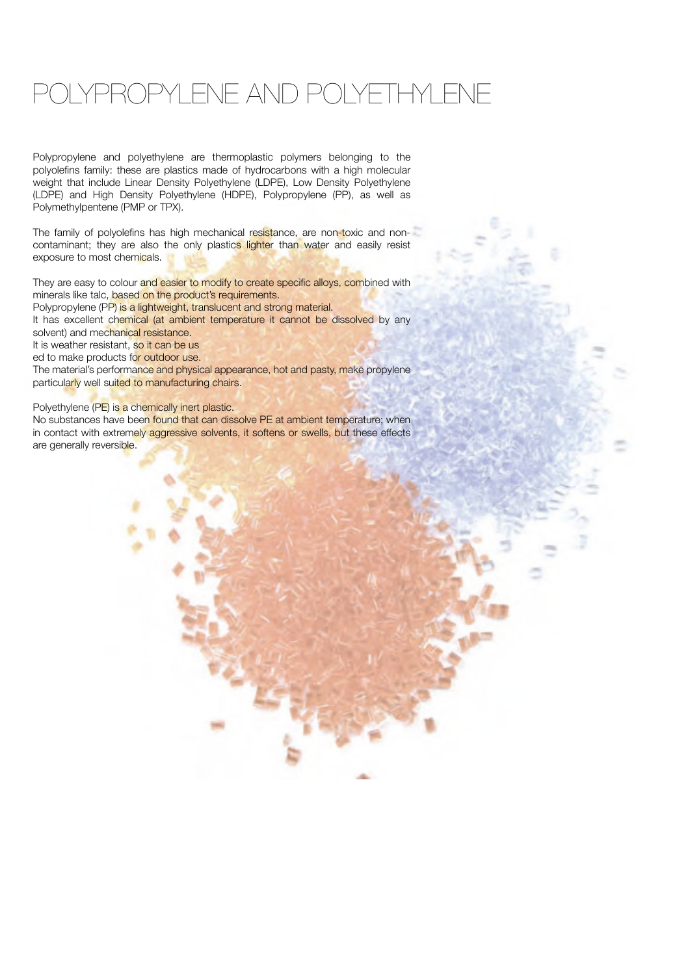### OLYPROPYLENE AND POLYETHYLENE

Polypropylene and polyethylene are thermoplastic polymers belonging to the polyolefins family: these are plastics made of hydrocarbons with a high molecular weight that include Linear Density Polyethylene (LDPE), Low Density Polyethylene (LDPE) and High Density Polyethylene (HDPE), Polypropylene (PP), as well as Polymethylpentene (PMP or TPX).

The family of polyolefins has high mechanical resistance, are non-toxic and noncontaminant; they are also the only plastics lighter than water and easily resist exposure to most chemicals.

They are easy to colour and easier to modify to create specific alloys, combined with minerals like talc, based on the product's requirements.

Polypropylene (PP) is a lightweight, translucent and strong material.

It has excellent chemical (at ambient temperature it cannot be dissolved by any solvent) and mechanical resistance.

It is weather resistant, so it can be us

ed to make products for outdoor use.

The material's performance and physical appearance, hot and pasty, make propylene particularly well suited to manufacturing chairs.

Polyethylene (PE) is a chemically inert plastic.

No substances have been found that can dissolve PE at ambient temperature; when in contact with extremely aggressive solvents, it softens or swells, but these effects are generally reversible.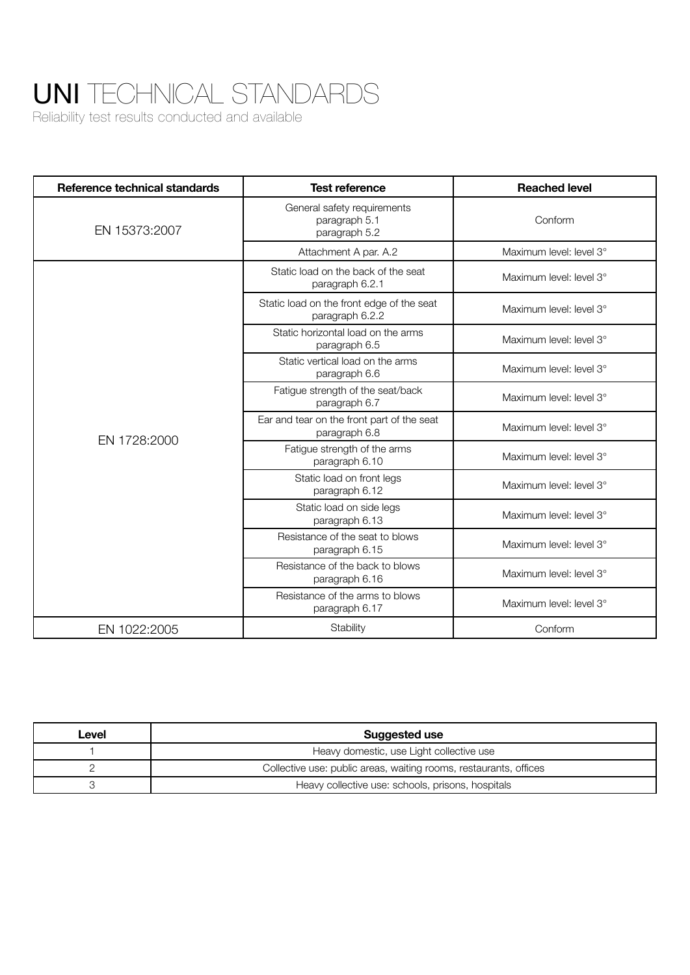## UNI TECHNICAL STANDARDS

Reliability test results conducted and available

| Reference technical standards | <b>Test reference</b>                                         | <b>Reached level</b>    |
|-------------------------------|---------------------------------------------------------------|-------------------------|
| EN 15373:2007                 | General safety requirements<br>paragraph 5.1<br>paragraph 5.2 | Conform                 |
|                               | Attachment A par. A.2                                         | Maximum level: level 3° |
| EN 1728:2000                  | Static load on the back of the seat<br>paragraph 6.2.1        | Maximum level: level 3° |
|                               | Static load on the front edge of the seat<br>paragraph 6.2.2  | Maximum level: level 3° |
|                               | Static horizontal load on the arms<br>paragraph 6.5           | Maximum level: level 3° |
|                               | Static vertical load on the arms<br>paragraph 6.6             | Maximum level: level 3° |
|                               | Fatigue strength of the seat/back<br>paragraph 6.7            | Maximum level: level 3° |
|                               | Ear and tear on the front part of the seat<br>paragraph 6.8   | Maximum level: level 3° |
|                               | Fatigue strength of the arms<br>paragraph 6.10                | Maximum level: level 3° |
|                               | Static load on front legs<br>paragraph 6.12                   | Maximum level: level 3° |
|                               | Static load on side legs<br>paragraph 6.13                    | Maximum level: level 3° |
|                               | Resistance of the seat to blows<br>paragraph 6.15             | Maximum level: level 3° |
|                               | Resistance of the back to blows<br>paragraph 6.16             | Maximum level: level 3° |
|                               | Resistance of the arms to blows<br>paragraph 6.17             | Maximum level: level 3° |
| EN 1022:2005                  | Stability                                                     | Conform                 |

| Level | Suggested use                                                     |  |
|-------|-------------------------------------------------------------------|--|
|       | Heavy domestic, use Light collective use                          |  |
|       | Collective use: public areas, waiting rooms, restaurants, offices |  |
|       | Heavy collective use: schools, prisons, hospitals                 |  |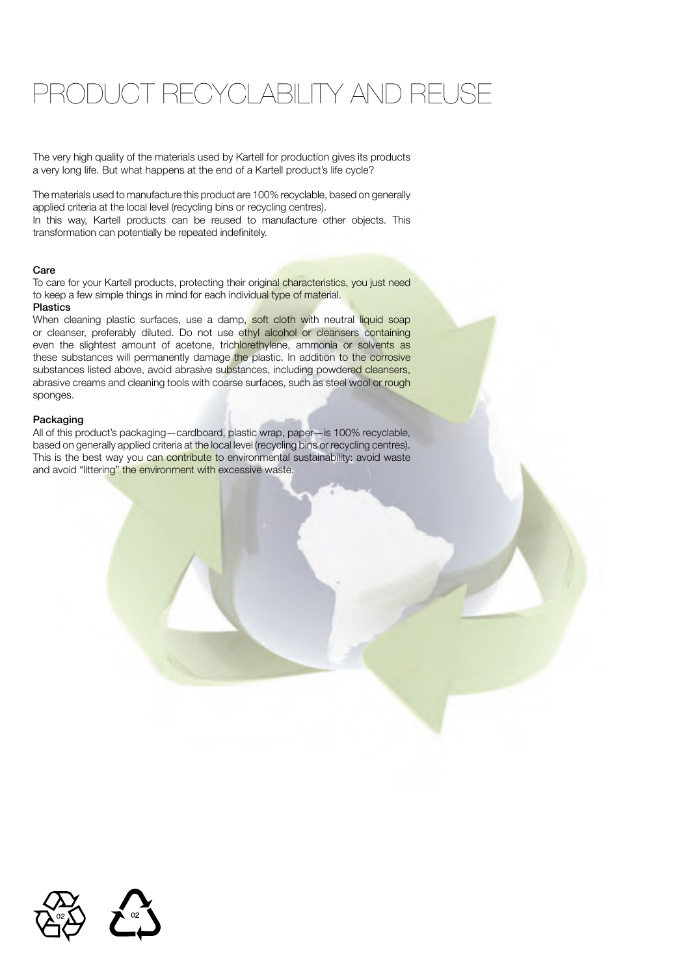### PRODUCT RECYCLABILITY AND REUSE

The very high quality of the materials used by Kartell for production gives its products a very long life. But what happens at the end of a Kartell product's life cycle?

The materials used to manufacture this product are 100% recyclable, based on generally applied criteria at the local level (recycling bins or recycling centres). In this way, Kartell products can be reused to manufacture other objects. This transformation can potentially be repeated indefinitely.

#### Care

To care for your Kartell products, protecting their original characteristics, you just need to keep a few simple things in mind for each individual type of material. Plastics

When cleaning plastic surfaces, use a damp, soft cloth with neutral liquid soap or cleanser, preferably diluted. Do not use ethyl alcohol or cleansers containing even the slightest amount of acetone, trichlorethylene, ammonia or solvents as these substances will permanently damage the plastic. In addition to the corrosive substances listed above, avoid abrasive substances, including powdered cleansers, abrasive creams and cleaning tools with coarse surfaces, such as steel wool or rough sponges.

#### Packaging

All of this product's packaging—cardboard, plastic wrap, paper—is 100% recyclable, based on generally applied criteria at the local level (recycling bins or recycling centres). This is the best way you can contribute to environmental sustainability: avoid waste and avoid "littering" the environment with excessive waste.